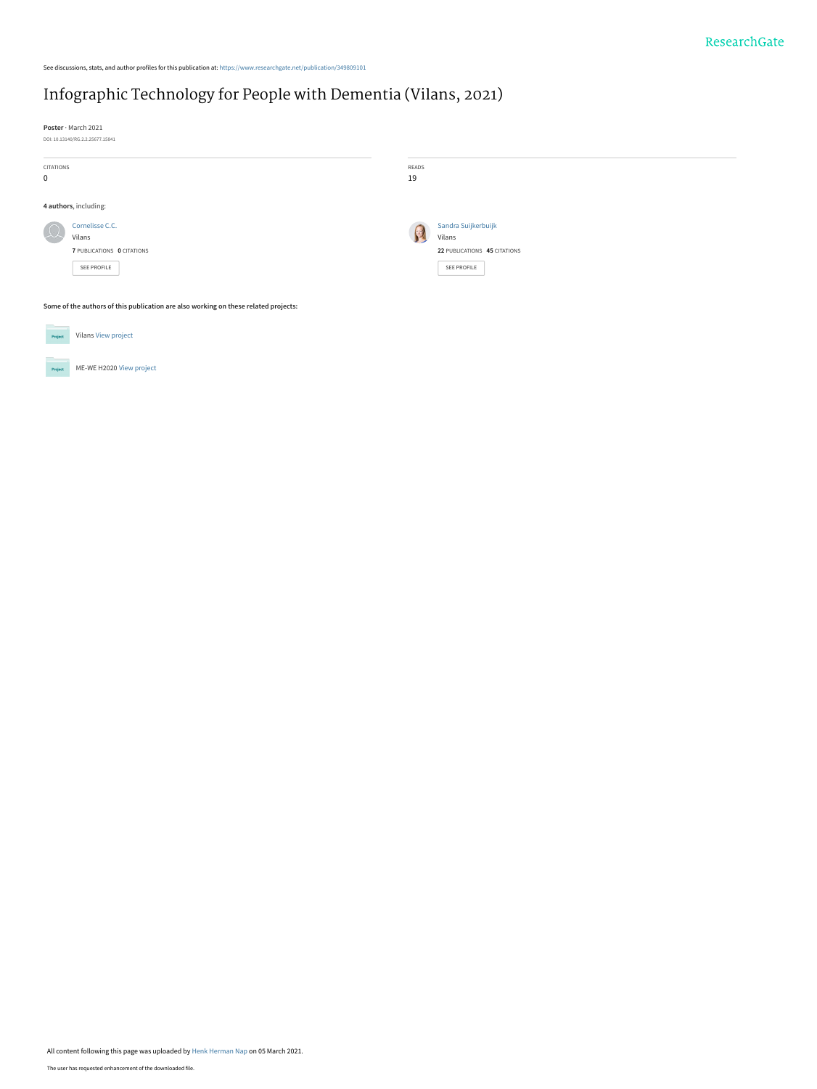## [Infographic Technology for People with Dementia \(Vilans, 2021\)](https://www.researchgate.net/publication/349809101_Infographic_Technology_for_People_with_Dementia_Vilans_2021?enrichId=rgreq-8e9df2400566cd6469964ac9ec7b0a03-XXX&enrichSource=Y292ZXJQYWdlOzM0OTgwOTEwMTtBUzo5OTc5Mzc4NDA2ODA5NjlAMTYxNDkzODMzMDk0NQ%3D%3D&el=1_x_3&_esc=publicationCoverPdf)

See discussions, stats, and author profiles for this publication at: [https://www.researchgate.net/publication/349809101](https://www.researchgate.net/publication/349809101_Infographic_Technology_for_People_with_Dementia_Vilans_2021?enrichId=rgreq-8e9df2400566cd6469964ac9ec7b0a03-XXX&enrichSource=Y292ZXJQYWdlOzM0OTgwOTEwMTtBUzo5OTc5Mzc4NDA2ODA5NjlAMTYxNDkzODMzMDk0NQ%3D%3D&el=1_x_2&_esc=publicationCoverPdf)

**Poster** · March 2021

| DOI: 10.13140/RG.2.2.25677.15841 |
|----------------------------------|
|                                  |

| CITATIONS<br>$\mathbf 0$                                                            |                                                                        | READS<br>19 |                                                                              |  |
|-------------------------------------------------------------------------------------|------------------------------------------------------------------------|-------------|------------------------------------------------------------------------------|--|
| 4 authors, including:                                                               |                                                                        |             |                                                                              |  |
| $\Omega$                                                                            | Cornelisse C.C.<br>Vilans<br>7 PUBLICATIONS 0 CITATIONS<br>SEE PROFILE |             | Sandra Suijkerbuijk<br>Vilans<br>22 PUBLICATIONS 45 CITATIONS<br>SEE PROFILE |  |
| Some of the authors of this publication are also working on these related projects: |                                                                        |             |                                                                              |  |



All content following this page was uploaded by [Henk Herman Nap](https://www.researchgate.net/profile/Henk-Herman-Nap?enrichId=rgreq-8e9df2400566cd6469964ac9ec7b0a03-XXX&enrichSource=Y292ZXJQYWdlOzM0OTgwOTEwMTtBUzo5OTc5Mzc4NDA2ODA5NjlAMTYxNDkzODMzMDk0NQ%3D%3D&el=1_x_10&_esc=publicationCoverPdf) on 05 March 2021.